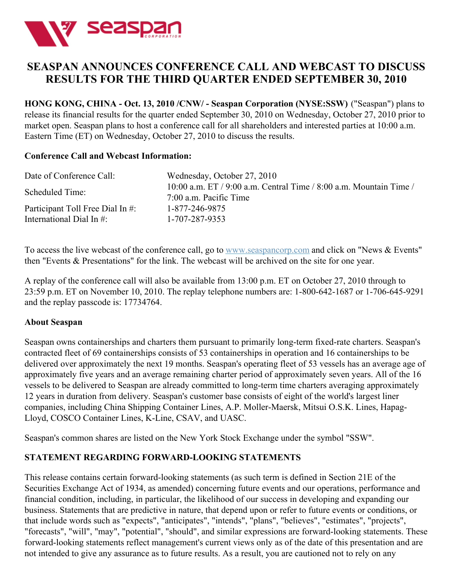

## **SEASPAN ANNOUNCES CONFERENCE CALL AND WEBCAST TO DISCUSS RESULTS FOR THE THIRD QUARTER ENDED SEPTEMBER 30, 2010**

**HONG KONG, CHINA - Oct. 13, 2010 /CNW/ - Seaspan Corporation (NYSE:SSW)** ("Seaspan") plans to release its financial results for the quarter ended September 30, 2010 on Wednesday, October 27, 2010 prior to market open. Seaspan plans to host a conference call for all shareholders and interested parties at 10:00 a.m. Eastern Time (ET) on Wednesday, October 27, 2010 to discuss the results.

## **Conference Call and Webcast Information:**

| Date of Conference Call:         | Wednesday, October 27, 2010                                                                        |
|----------------------------------|----------------------------------------------------------------------------------------------------|
| Scheduled Time:                  | 10:00 a.m. ET $/$ 9:00 a.m. Central Time $/$ 8:00 a.m. Mountain Time $/$<br>7:00 a.m. Pacific Time |
| Participant Toll Free Dial In #: | 1-877-246-9875                                                                                     |
| International Dial In $\#$ :     | 1-707-287-9353                                                                                     |

To access the live webcast of the conference call, go to [www.seaspancorp.com](http://www.seaspancorp.com/) and click on "News & Events" then "Events & Presentations" for the link. The webcast will be archived on the site for one year.

A replay of the conference call will also be available from 13:00 p.m. ET on October 27, 2010 through to 23:59 p.m. ET on November 10, 2010. The replay telephone numbers are: 1-800-642-1687 or 1-706-645-9291 and the replay passcode is: 17734764.

## **About Seaspan**

Seaspan owns containerships and charters them pursuant to primarily long-term fixed-rate charters. Seaspan's contracted fleet of 69 containerships consists of 53 containerships in operation and 16 containerships to be delivered over approximately the next 19 months. Seaspan's operating fleet of 53 vessels has an average age of approximately five years and an average remaining charter period of approximately seven years. All of the 16 vessels to be delivered to Seaspan are already committed to long-term time charters averaging approximately 12 years in duration from delivery. Seaspan's customer base consists of eight of the world's largest liner companies, including China Shipping Container Lines, A.P. Moller-Maersk, Mitsui O.S.K. Lines, Hapag-Lloyd, COSCO Container Lines, K-Line, CSAV, and UASC.

Seaspan's common shares are listed on the New York Stock Exchange under the symbol "SSW".

## **STATEMENT REGARDING FORWARD-LOOKING STATEMENTS**

This release contains certain forward-looking statements (as such term is defined in Section 21E of the Securities Exchange Act of 1934, as amended) concerning future events and our operations, performance and financial condition, including, in particular, the likelihood of our success in developing and expanding our business. Statements that are predictive in nature, that depend upon or refer to future events or conditions, or that include words such as "expects", "anticipates", "intends", "plans", "believes", "estimates", "projects", "forecasts", "will", "may", "potential", "should", and similar expressions are forward-looking statements. These forward-looking statements reflect management's current views only as of the date of this presentation and are not intended to give any assurance as to future results. As a result, you are cautioned not to rely on any